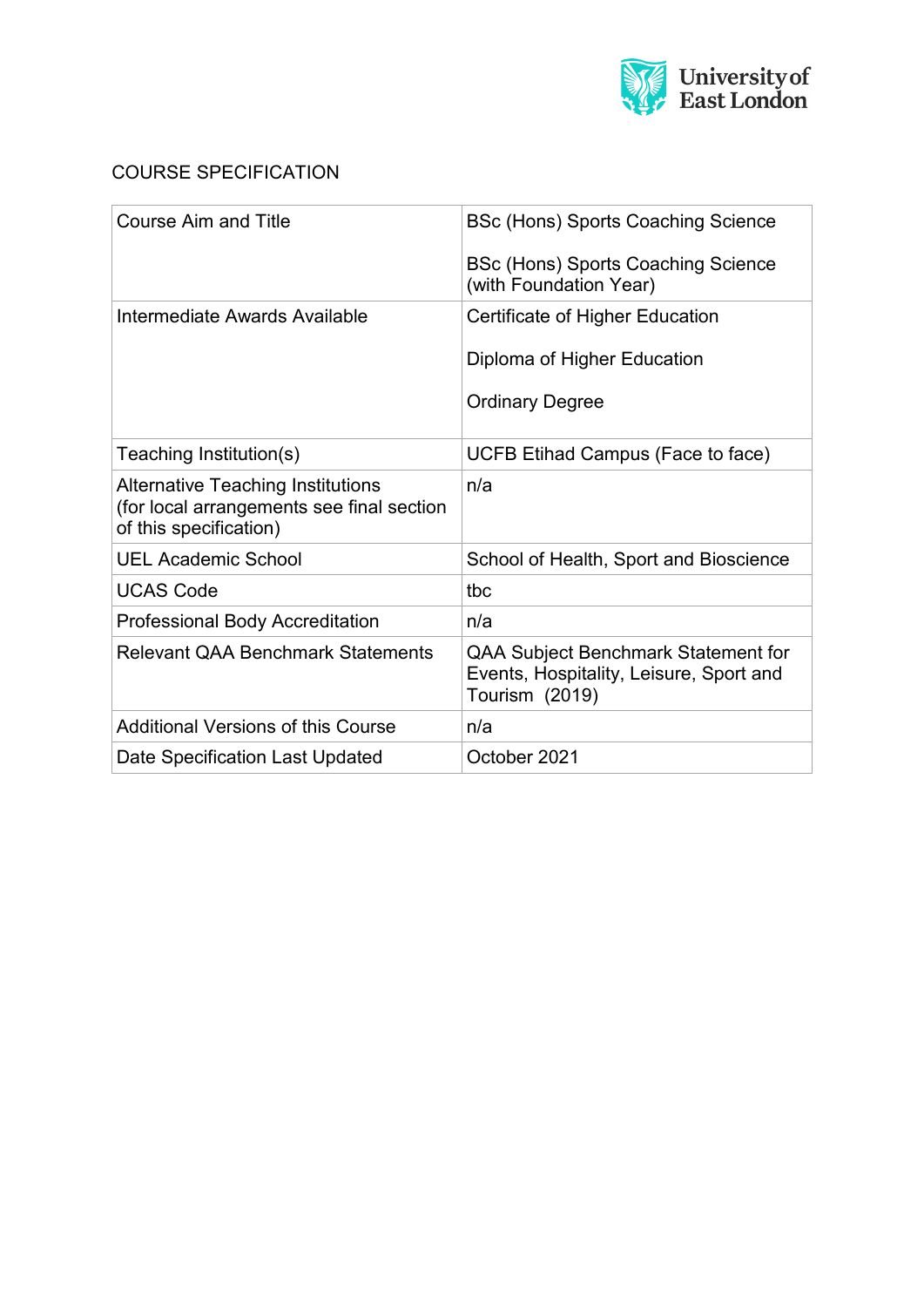

# COURSE SPECIFICATION

| <b>Course Aim and Title</b>                                                                                     | <b>BSc (Hons) Sports Coaching Science</b>                                                        |
|-----------------------------------------------------------------------------------------------------------------|--------------------------------------------------------------------------------------------------|
|                                                                                                                 | BSc (Hons) Sports Coaching Science<br>(with Foundation Year)                                     |
| Intermediate Awards Available                                                                                   | Certificate of Higher Education                                                                  |
|                                                                                                                 | Diploma of Higher Education                                                                      |
|                                                                                                                 | <b>Ordinary Degree</b>                                                                           |
| Teaching Institution(s)                                                                                         | UCFB Etihad Campus (Face to face)                                                                |
| <b>Alternative Teaching Institutions</b><br>(for local arrangements see final section<br>of this specification) | n/a                                                                                              |
| <b>UEL Academic School</b>                                                                                      | School of Health, Sport and Bioscience                                                           |
| <b>UCAS Code</b>                                                                                                | tbc                                                                                              |
| <b>Professional Body Accreditation</b>                                                                          | n/a                                                                                              |
| <b>Relevant QAA Benchmark Statements</b>                                                                        | QAA Subject Benchmark Statement for<br>Events, Hospitality, Leisure, Sport and<br>Tourism (2019) |
| <b>Additional Versions of this Course</b>                                                                       | n/a                                                                                              |
| Date Specification Last Updated                                                                                 | October 2021                                                                                     |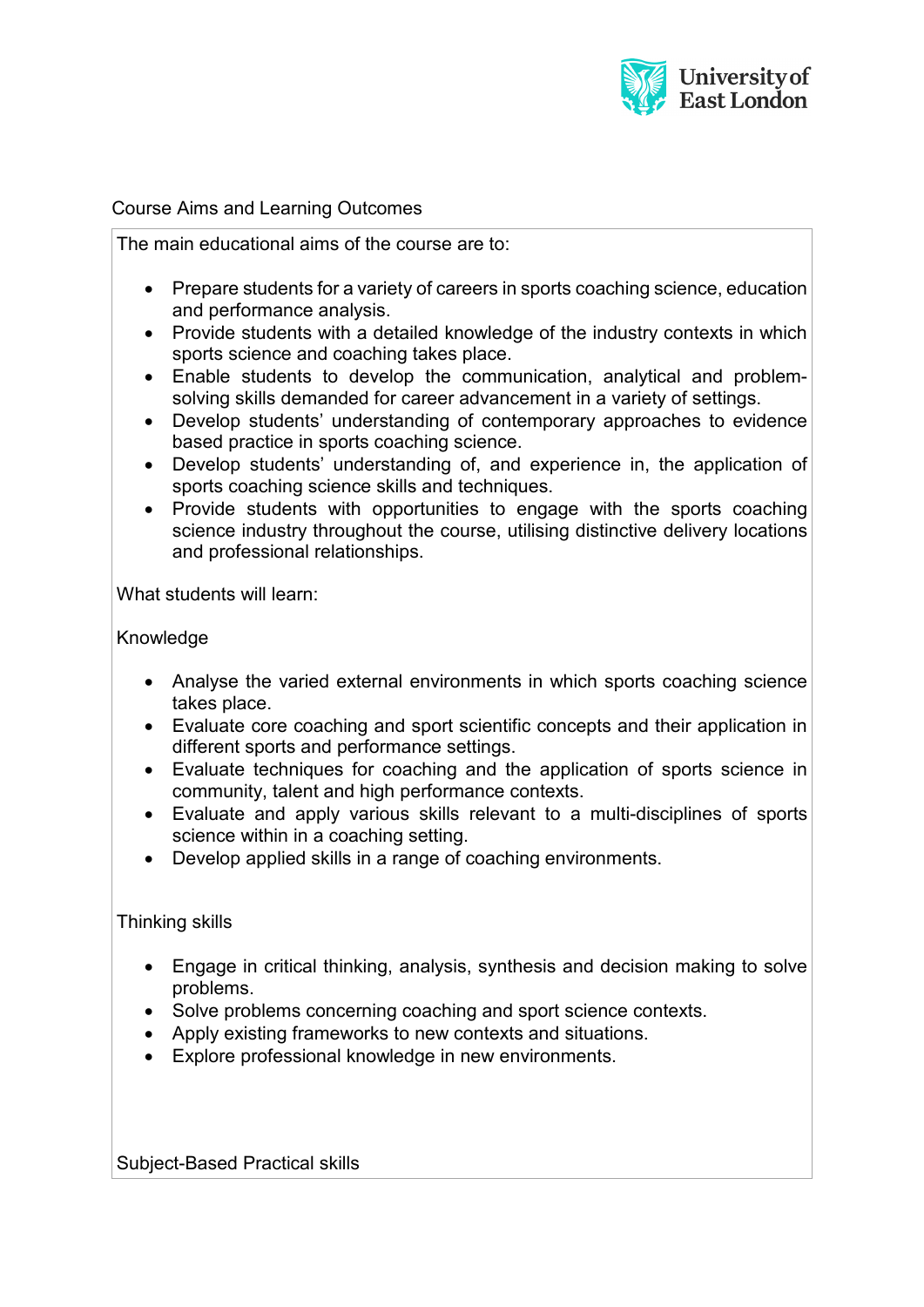

#### Course Aims and Learning Outcomes

The main educational aims of the course are to:

- Prepare students for a variety of careers in sports coaching science, education and performance analysis.
- Provide students with a detailed knowledge of the industry contexts in which sports science and coaching takes place.
- Enable students to develop the communication, analytical and problemsolving skills demanded for career advancement in a variety of settings.
- Develop students' understanding of contemporary approaches to evidence based practice in sports coaching science.
- Develop students' understanding of, and experience in, the application of sports coaching science skills and techniques.
- Provide students with opportunities to engage with the sports coaching science industry throughout the course, utilising distinctive delivery locations and professional relationships.

What students will learn:

#### Knowledge

- Analyse the varied external environments in which sports coaching science takes place.
- Evaluate core coaching and sport scientific concepts and their application in different sports and performance settings.
- Evaluate techniques for coaching and the application of sports science in community, talent and high performance contexts.
- Evaluate and apply various skills relevant to a multi-disciplines of sports science within in a coaching setting.
- Develop applied skills in a range of coaching environments.

#### Thinking skills

- Engage in critical thinking, analysis, synthesis and decision making to solve problems.
- Solve problems concerning coaching and sport science contexts.
- Apply existing frameworks to new contexts and situations.
- Explore professional knowledge in new environments.

Subject-Based Practical skills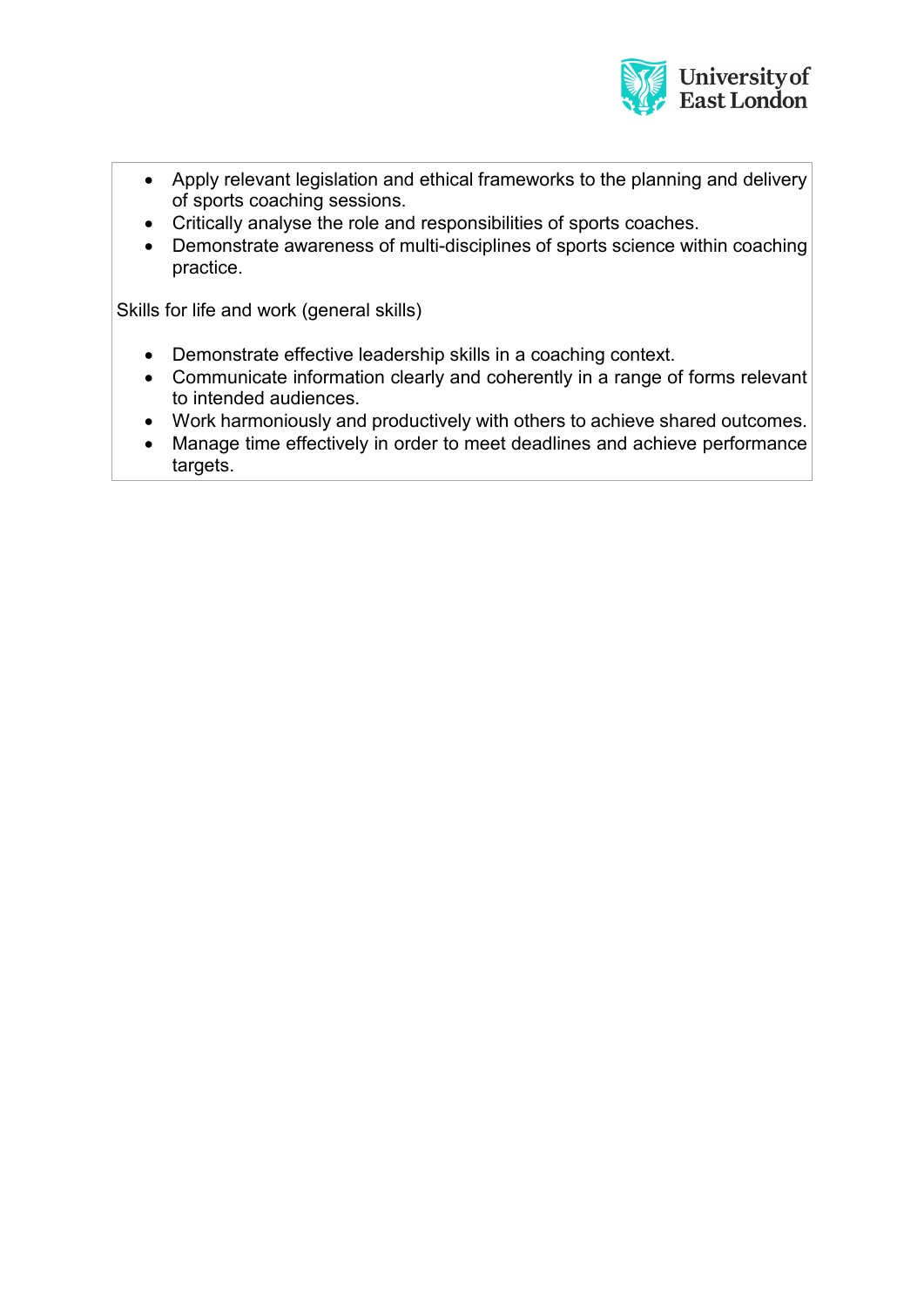

- Apply relevant legislation and ethical frameworks to the planning and delivery of sports coaching sessions.
- Critically analyse the role and responsibilities of sports coaches.
- Demonstrate awareness of multi-disciplines of sports science within coaching practice.

Skills for life and work (general skills)

- Demonstrate effective leadership skills in a coaching context.
- Communicate information clearly and coherently in a range of forms relevant to intended audiences.
- Work harmoniously and productively with others to achieve shared outcomes.
- Manage time effectively in order to meet deadlines and achieve performance targets.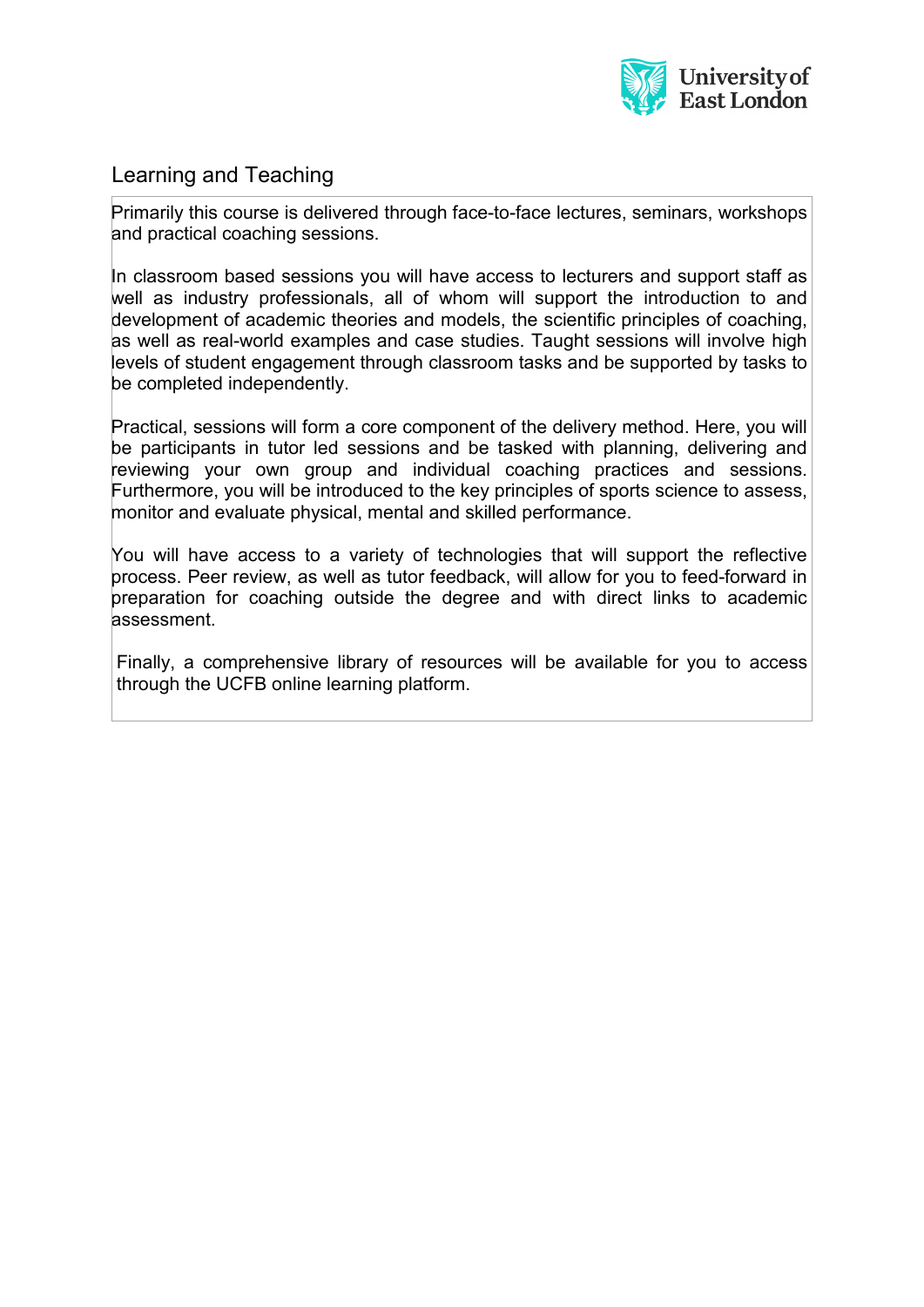

# Learning and Teaching

Primarily this course is delivered through face-to-face lectures, seminars, workshops and practical coaching sessions.

In classroom based sessions you will have access to lecturers and support staff as well as industry professionals, all of whom will support the introduction to and development of academic theories and models, the scientific principles of coaching, as well as real-world examples and case studies. Taught sessions will involve high levels of student engagement through classroom tasks and be supported by tasks to be completed independently.

Practical, sessions will form a core component of the delivery method. Here, you will be participants in tutor led sessions and be tasked with planning, delivering and reviewing your own group and individual coaching practices and sessions. Furthermore, you will be introduced to the key principles of sports science to assess, monitor and evaluate physical, mental and skilled performance.

You will have access to a variety of technologies that will support the reflective process. Peer review, as well as tutor feedback, will allow for you to feed-forward in preparation for coaching outside the degree and with direct links to academic assessment.

Finally, a comprehensive library of resources will be available for you to access through the UCFB online learning platform.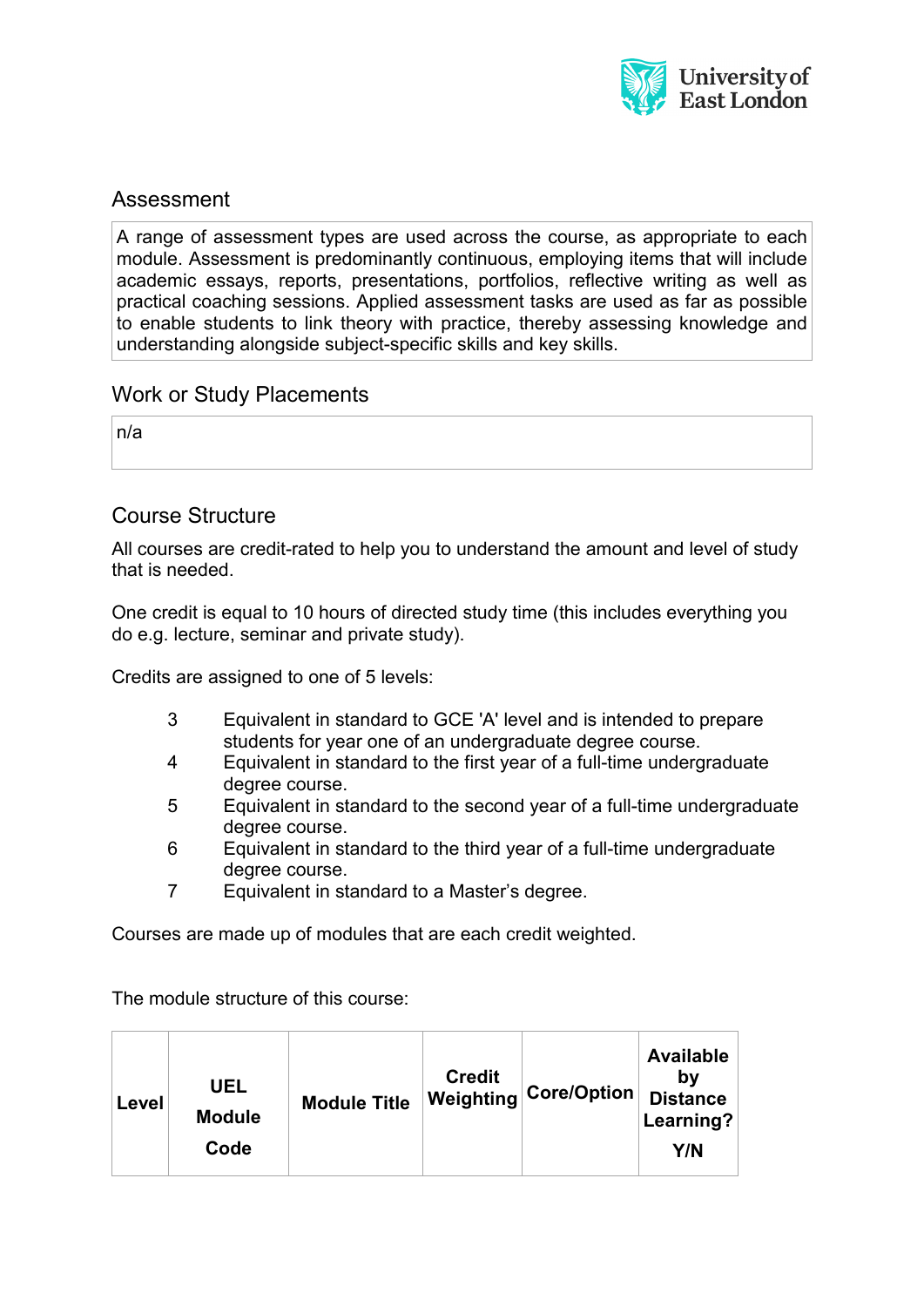

### Assessment

A range of assessment types are used across the course, as appropriate to each module. Assessment is predominantly continuous, employing items that will include academic essays, reports, presentations, portfolios, reflective writing as well as practical coaching sessions. Applied assessment tasks are used as far as possible to enable students to link theory with practice, thereby assessing knowledge and understanding alongside subject-specific skills and key skills.

### Work or Study Placements

n/a

### Course Structure

All courses are credit-rated to help you to understand the amount and level of study that is needed.

One credit is equal to 10 hours of directed study time (this includes everything you do e.g. lecture, seminar and private study).

Credits are assigned to one of 5 levels:

- 3 Equivalent in standard to GCE 'A' level and is intended to prepare students for year one of an undergraduate degree course.
- 4 Equivalent in standard to the first year of a full-time undergraduate degree course.
- 5 Equivalent in standard to the second year of a full-time undergraduate degree course.
- 6 Equivalent in standard to the third year of a full-time undergraduate degree course.
- 7 Equivalent in standard to a Master's degree.

Courses are made up of modules that are each credit weighted.

The module structure of this course:

| Level | UEL<br><b>Module</b><br>Code | <b>Module Title</b> | <b>Credit</b> | $\mathsf{I}\mathsf{Weighting}\big \mathsf{Core}/\mathsf{Option}_\mathsf{I}$ | <b>Available</b><br>bv<br><b>Distance</b><br>Learning?<br>Y/N |
|-------|------------------------------|---------------------|---------------|-----------------------------------------------------------------------------|---------------------------------------------------------------|
|-------|------------------------------|---------------------|---------------|-----------------------------------------------------------------------------|---------------------------------------------------------------|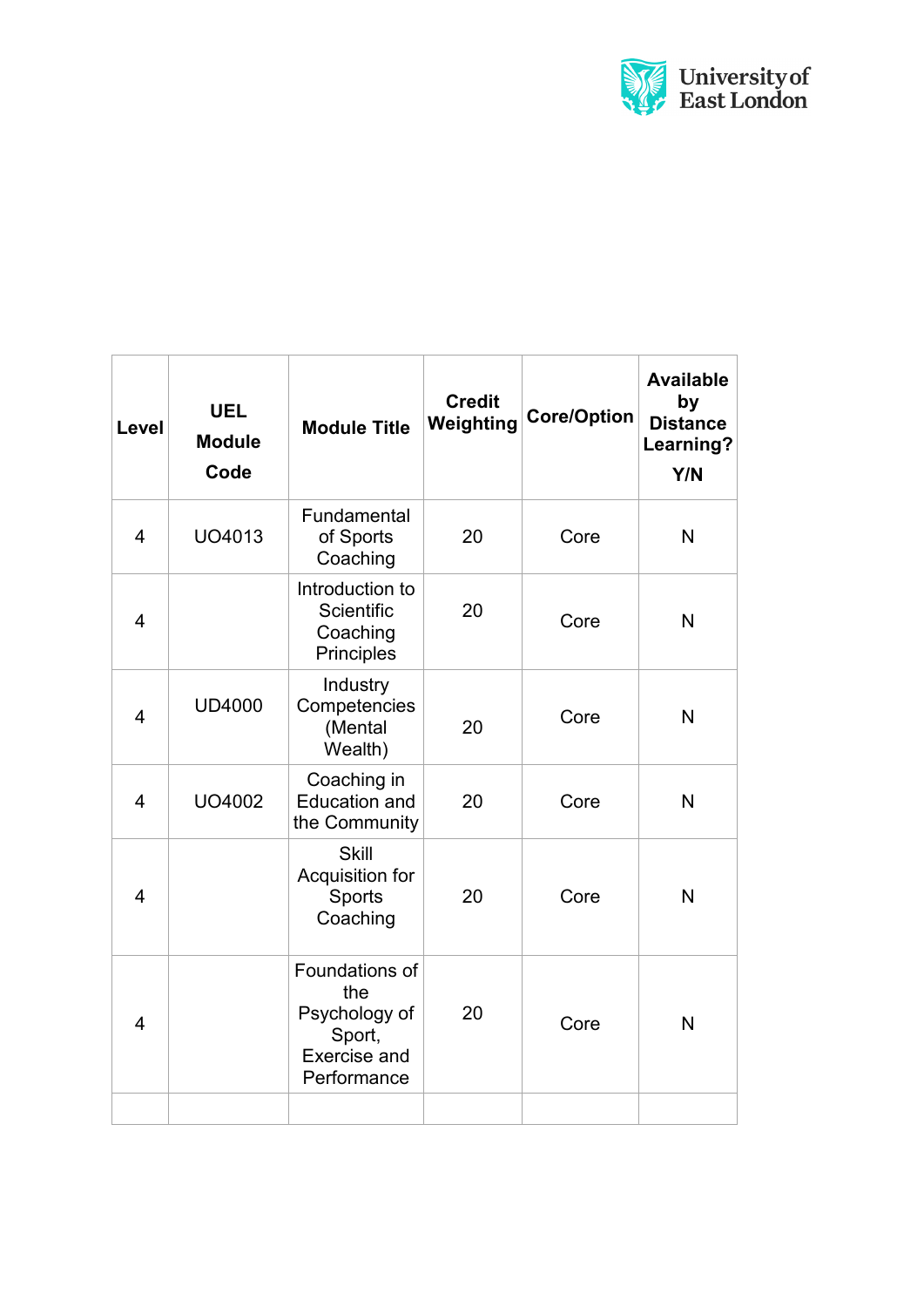

| Level          | <b>UEL</b><br><b>Module</b><br>Code | <b>Module Title</b>                                                                    | <b>Credit</b><br>Weighting | <b>Core/Option</b> | <b>Available</b><br>by<br><b>Distance</b><br>Learning?<br>Y/N |
|----------------|-------------------------------------|----------------------------------------------------------------------------------------|----------------------------|--------------------|---------------------------------------------------------------|
| 4              | UO4013                              | Fundamental<br>of Sports<br>Coaching                                                   | 20                         | Core               | N                                                             |
| 4              |                                     | Introduction to<br>Scientific<br>Coaching<br>Principles                                | 20                         | Core               | $\mathsf{N}$                                                  |
| $\overline{4}$ | <b>UD4000</b>                       | Industry<br>Competencies<br>(Mental<br>Wealth)                                         | 20                         | Core               | $\mathsf{N}$                                                  |
| $\overline{4}$ | UO4002                              | Coaching in<br><b>Education and</b><br>the Community                                   | 20                         | Core               | $\mathsf{N}$                                                  |
| $\overline{4}$ |                                     | <b>Skill</b><br>Acquisition for<br>Sports<br>Coaching                                  | 20                         | Core               | $\mathsf{N}$                                                  |
| 4              |                                     | Foundations of<br>the<br>Psychology of<br>Sport,<br><b>Exercise and</b><br>Performance | 20                         | Core               | $\mathsf{N}$                                                  |
|                |                                     |                                                                                        |                            |                    |                                                               |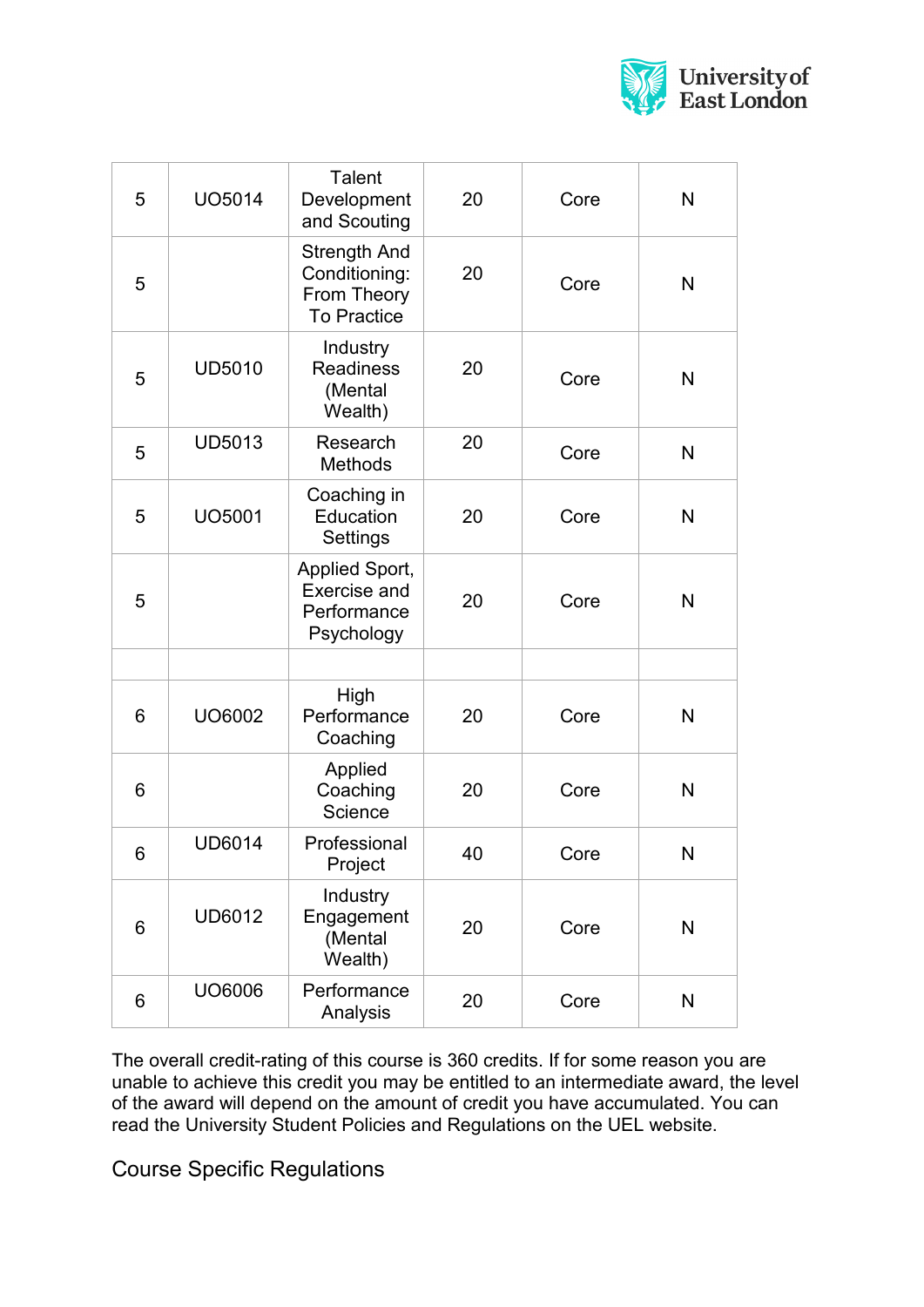

| 5 | UO5014        | <b>Talent</b><br>Development<br>and Scouting                              | 20 | Core | N |
|---|---------------|---------------------------------------------------------------------------|----|------|---|
| 5 |               | <b>Strength And</b><br>Conditioning:<br>From Theory<br><b>To Practice</b> | 20 | Core | N |
| 5 | <b>UD5010</b> | Industry<br><b>Readiness</b><br>(Mental<br>Wealth)                        | 20 | Core | N |
| 5 | <b>UD5013</b> | Research<br>Methods                                                       | 20 | Core | N |
| 5 | <b>UO5001</b> | Coaching in<br>Education<br>Settings                                      | 20 | Core | N |
| 5 |               | Applied Sport,<br><b>Exercise and</b><br>Performance<br>Psychology        | 20 | Core | N |
|   |               |                                                                           |    |      |   |
| 6 | UO6002        | High<br>Performance<br>Coaching                                           | 20 | Core | N |
| 6 |               | Applied<br>Coaching<br>Science                                            | 20 | Core | N |
| 6 | <b>UD6014</b> | Professional<br>Project                                                   | 40 | Core | Ν |
| 6 | UD6012        | Industry<br>Engagement<br>(Mental<br>Wealth)                              | 20 | Core | N |
| 6 | UO6006        | Performance<br>Analysis                                                   | 20 | Core | N |

The overall credit-rating of this course is 360 credits. If for some reason you are unable to achieve this credit you may be entitled to an intermediate award, the level of the award will depend on the amount of credit you have accumulated. You can read the University Student Policies and Regulations on the UEL website.

Course Specific Regulations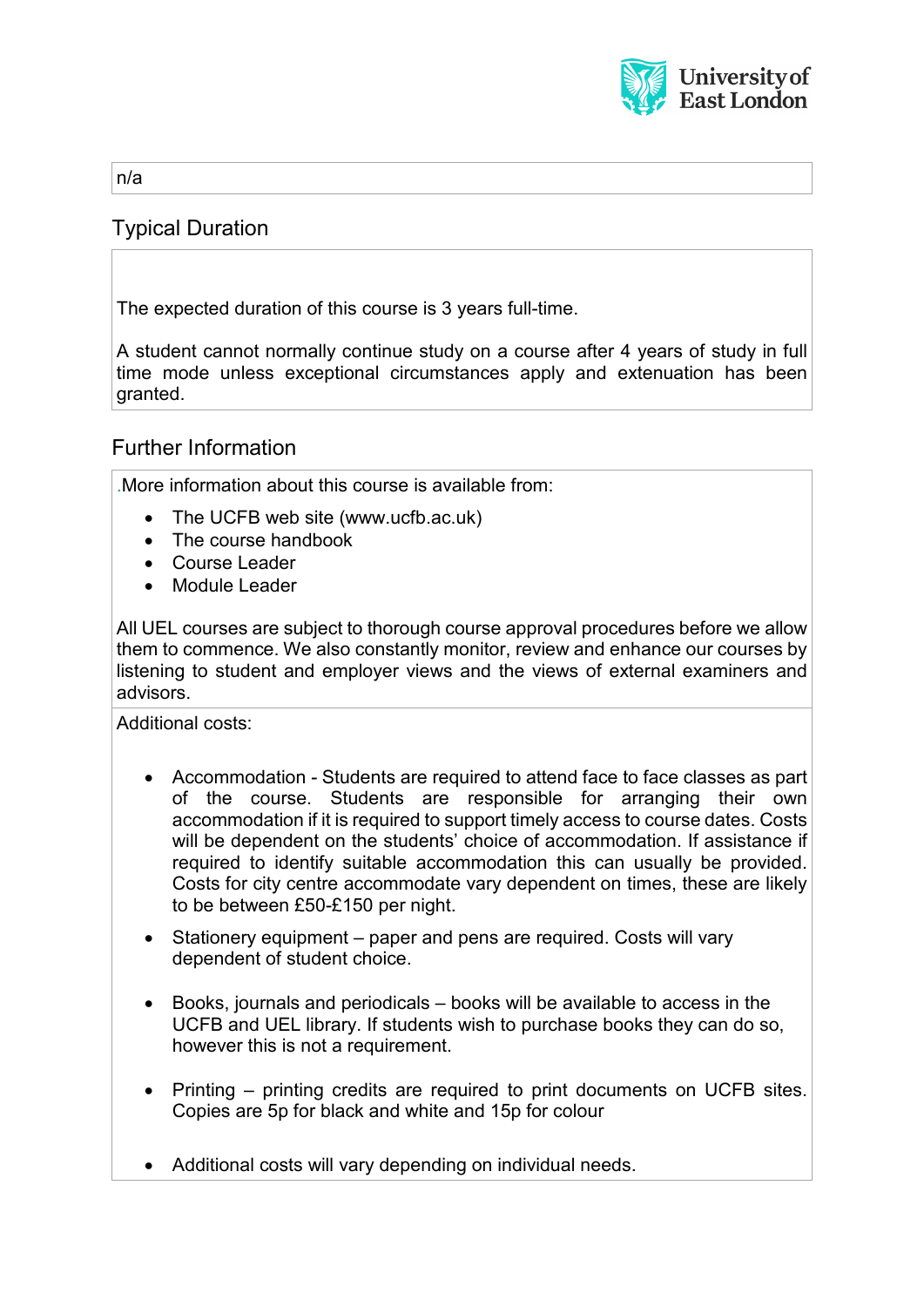

n/a

# Typical Duration

The expected duration of this course is 3 years full-time.

A student cannot normally continue study on a course after 4 years of study in full time mode unless exceptional circumstances apply and extenuation has been granted.

### Further Information

.More information about this course is available from:

- The UCFB web site (www.ucfb.ac.uk)
- The course handbook
- Course Leader
- Module Leader

All UEL courses are subject to thorough course approval procedures before we allow them to commence. We also constantly monitor, review and enhance our courses by listening to student and employer views and the views of external examiners and advisors.

Additional costs:

- Accommodation Students are required to attend face to face classes as part of the course. Students are responsible for arranging their own accommodation if it is required to support timely access to course dates. Costs will be dependent on the students' choice of accommodation. If assistance if required to identify suitable accommodation this can usually be provided. Costs for city centre accommodate vary dependent on times, these are likely to be between £50-£150 per night.
- Stationery equipment paper and pens are required. Costs will vary dependent of student choice.
- Books, journals and periodicals books will be available to access in the UCFB and UEL library. If students wish to purchase books they can do so, however this is not a requirement.
- Printing printing credits are required to print documents on UCFB sites. Copies are 5p for black and white and 15p for colour
- Additional costs will vary depending on individual needs.